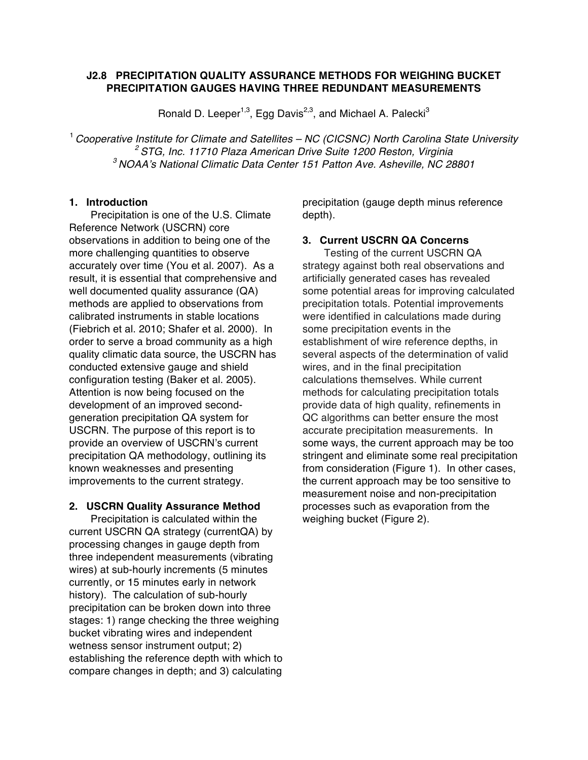# **J2.8 PRECIPITATION QUALITY ASSURANCE METHODS FOR WEIGHING BUCKET PRECIPITATION GAUGES HAVING THREE REDUNDANT MEASUREMENTS**

Ronald D. Leeper<sup>1,3</sup>, Egg Davis<sup>2,3</sup>, and Michael A. Palecki<sup>3</sup>

<sup>1</sup> *Cooperative Institute for Climate and Satellites – NC (CICSNC) North Carolina State University <sup>2</sup> STG, Inc. 11710 Plaza American Drive Suite 1200 Reston, Virginia <sup>3</sup> NOAA's National Climatic Data Center 151 Patton Ave. Asheville, NC 28801*

#### **1. Introduction**

Precipitation is one of the U.S. Climate Reference Network (USCRN) core observations in addition to being one of the more challenging quantities to observe accurately over time (You et al. 2007). As a result, it is essential that comprehensive and well documented quality assurance (QA) methods are applied to observations from calibrated instruments in stable locations (Fiebrich et al. 2010; Shafer et al. 2000). In order to serve a broad community as a high quality climatic data source, the USCRN has conducted extensive gauge and shield configuration testing (Baker et al. 2005). Attention is now being focused on the development of an improved secondgeneration precipitation QA system for USCRN. The purpose of this report is to provide an overview of USCRN's current precipitation QA methodology, outlining its known weaknesses and presenting improvements to the current strategy.

## **2. USCRN Quality Assurance Method**

Precipitation is calculated within the current USCRN QA strategy (currentQA) by processing changes in gauge depth from three independent measurements (vibrating wires) at sub-hourly increments (5 minutes currently, or 15 minutes early in network history). The calculation of sub-hourly precipitation can be broken down into three stages: 1) range checking the three weighing bucket vibrating wires and independent wetness sensor instrument output; 2) establishing the reference depth with which to compare changes in depth; and 3) calculating

precipitation (gauge depth minus reference depth).

#### **3. Current USCRN QA Concerns**

Testing of the current USCRN QA strategy against both real observations and artificially generated cases has revealed some potential areas for improving calculated precipitation totals. Potential improvements were identified in calculations made during some precipitation events in the establishment of wire reference depths, in several aspects of the determination of valid wires, and in the final precipitation calculations themselves. While current methods for calculating precipitation totals provide data of high quality, refinements in QC algorithms can better ensure the most accurate precipitation measurements. In some ways, the current approach may be too stringent and eliminate some real precipitation from consideration (Figure 1). In other cases, the current approach may be too sensitive to measurement noise and non-precipitation processes such as evaporation from the weighing bucket (Figure 2).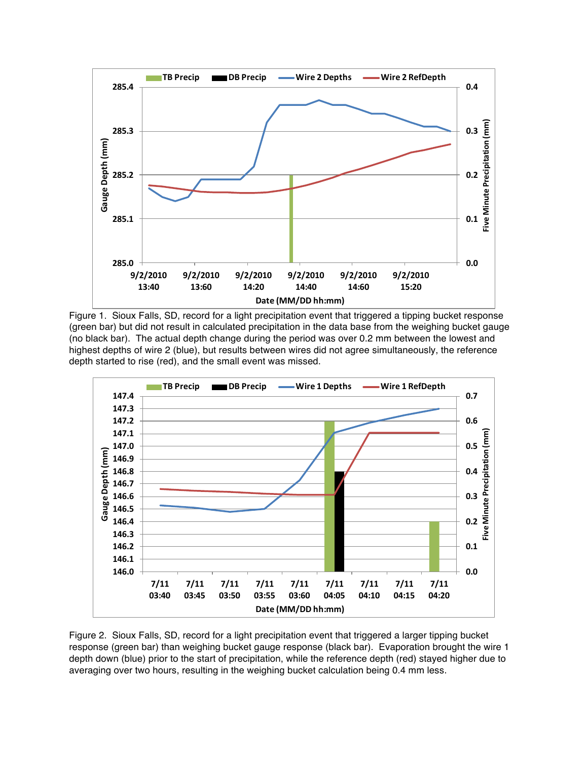

Figure 1. Sioux Falls, SD, record for a light precipitation event that triggered a tipping bucket response (green bar) but did not result in calculated precipitation in the data base from the weighing bucket gauge (no black bar). The actual depth change during the period was over 0.2 mm between the lowest and highest depths of wire 2 (blue), but results between wires did not agree simultaneously, the reference depth started to rise (red), and the small event was missed.



Figure 2. Sioux Falls, SD, record for a light precipitation event that triggered a larger tipping bucket response (green bar) than weighing bucket gauge response (black bar). Evaporation brought the wire 1 depth down (blue) prior to the start of precipitation, while the reference depth (red) stayed higher due to averaging over two hours, resulting in the weighing bucket calculation being 0.4 mm less.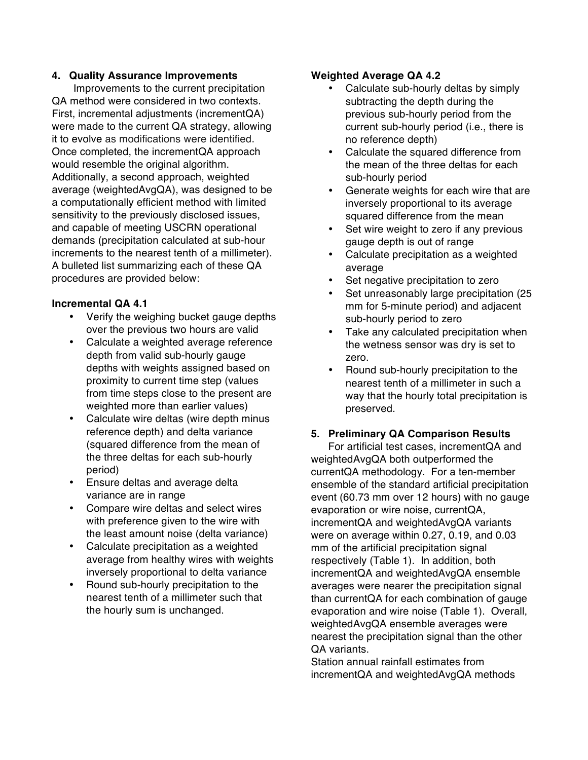## **4. Quality Assurance Improvements**

Improvements to the current precipitation QA method were considered in two contexts. First, incremental adjustments (incrementQA) were made to the current QA strategy, allowing it to evolve as modifications were identified. Once completed, the incrementQA approach would resemble the original algorithm. Additionally, a second approach, weighted average (weightedAvgQA), was designed to be a computationally efficient method with limited sensitivity to the previously disclosed issues, and capable of meeting USCRN operational demands (precipitation calculated at sub-hour increments to the nearest tenth of a millimeter). A bulleted list summarizing each of these QA procedures are provided below:

## **Incremental QA 4.1**

- Verify the weighing bucket gauge depths over the previous two hours are valid
- Calculate a weighted average reference depth from valid sub-hourly gauge depths with weights assigned based on proximity to current time step (values from time steps close to the present are weighted more than earlier values)
- Calculate wire deltas (wire depth minus reference depth) and delta variance (squared difference from the mean of the three deltas for each sub-hourly period)
- Ensure deltas and average delta variance are in range
- Compare wire deltas and select wires with preference given to the wire with the least amount noise (delta variance)
- Calculate precipitation as a weighted average from healthy wires with weights inversely proportional to delta variance
- Round sub-hourly precipitation to the nearest tenth of a millimeter such that the hourly sum is unchanged.

## **Weighted Average QA 4.2**

- Calculate sub-hourly deltas by simply subtracting the depth during the previous sub-hourly period from the current sub-hourly period (i.e., there is no reference depth)
- Calculate the squared difference from the mean of the three deltas for each sub-hourly period
- Generate weights for each wire that are inversely proportional to its average squared difference from the mean
- Set wire weight to zero if any previous gauge depth is out of range
- Calculate precipitation as a weighted average
- Set negative precipitation to zero
- Set unreasonably large precipitation (25 mm for 5-minute period) and adjacent sub-hourly period to zero
- Take any calculated precipitation when the wetness sensor was dry is set to zero.
- Round sub-hourly precipitation to the nearest tenth of a millimeter in such a way that the hourly total precipitation is preserved.

## **5. Preliminary QA Comparison Results**

For artificial test cases, incrementQA and weightedAvgQA both outperformed the currentQA methodology. For a ten-member ensemble of the standard artificial precipitation event (60.73 mm over 12 hours) with no gauge evaporation or wire noise, currentQA, incrementQA and weightedAvgQA variants were on average within 0.27, 0.19, and 0.03 mm of the artificial precipitation signal respectively (Table 1). In addition, both incrementQA and weightedAvgQA ensemble averages were nearer the precipitation signal than currentQA for each combination of gauge evaporation and wire noise (Table 1). Overall, weightedAvgQA ensemble averages were nearest the precipitation signal than the other QA variants.

Station annual rainfall estimates from incrementQA and weightedAvgQA methods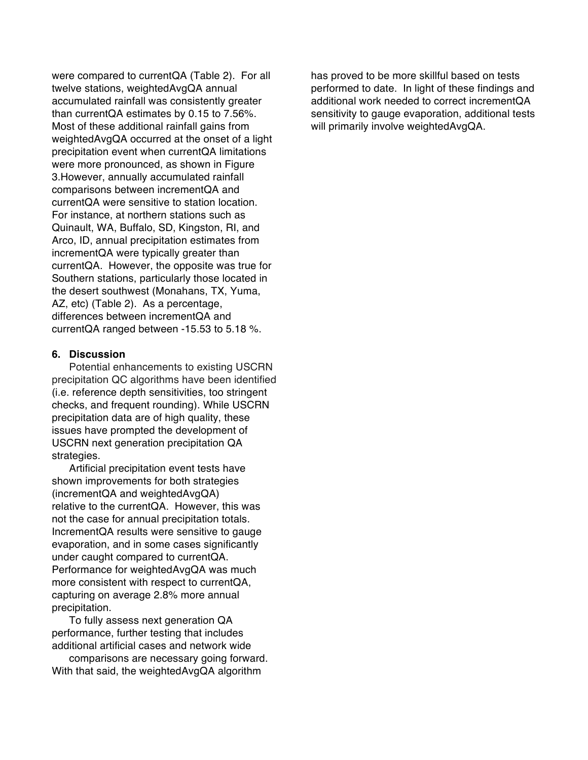were compared to currentQA (Table 2). For all twelve stations, weightedAvgQA annual accumulated rainfall was consistently greater than currentQA estimates by 0.15 to 7.56%. Most of these additional rainfall gains from weightedAvgQA occurred at the onset of a light precipitation event when currentQA limitations were more pronounced, as shown in Figure 3.However, annually accumulated rainfall comparisons between incrementQA and currentQA were sensitive to station location. For instance, at northern stations such as Quinault, WA, Buffalo, SD, Kingston, RI, and Arco, ID, annual precipitation estimates from incrementQA were typically greater than currentQA. However, the opposite was true for Southern stations, particularly those located in the desert southwest (Monahans, TX, Yuma, AZ, etc) (Table 2). As a percentage, differences between incrementQA and currentQA ranged between -15.53 to 5.18 %.

## **6. Discussion**

Potential enhancements to existing USCRN precipitation QC algorithms have been identified (i.e. reference depth sensitivities, too stringent checks, and frequent rounding). While USCRN precipitation data are of high quality, these issues have prompted the development of USCRN next generation precipitation QA strategies.

Artificial precipitation event tests have shown improvements for both strategies (incrementQA and weightedAvgQA) relative to the currentQA. However, this was not the case for annual precipitation totals. IncrementQA results were sensitive to gauge evaporation, and in some cases significantly under caught compared to currentQA. Performance for weightedAvgQA was much more consistent with respect to currentQA, capturing on average 2.8% more annual precipitation.

To fully assess next generation QA performance, further testing that includes additional artificial cases and network wide

comparisons are necessary going forward. With that said, the weightedAvgQA algorithm

has proved to be more skillful based on tests performed to date. In light of these findings and additional work needed to correct incrementQA sensitivity to gauge evaporation, additional tests will primarily involve weightedAvgQA.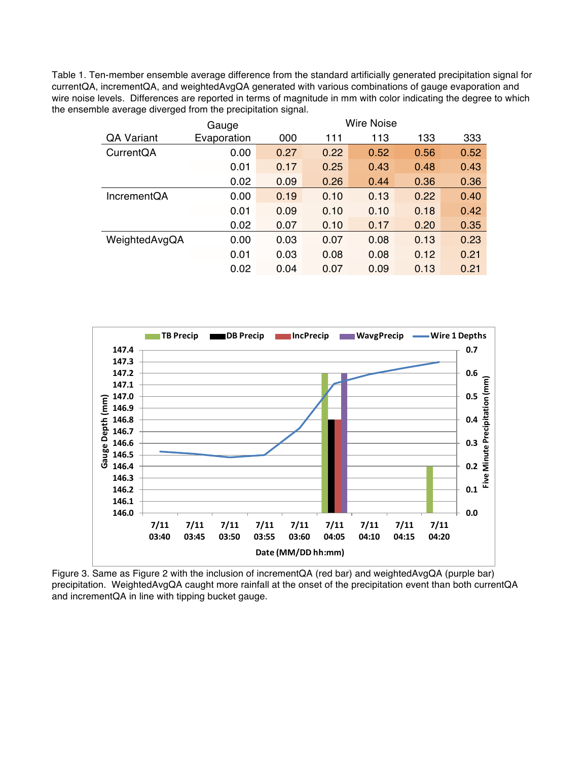Table 1. Ten-member ensemble average difference from the standard artificially generated precipitation signal for currentQA, incrementQA, and weightedAvgQA generated with various combinations of gauge evaporation and wire noise levels. Differences are reported in terms of magnitude in mm with color indicating the degree to which the ensemble average diverged from the precipitation signal.

|                    | Gauge       |      | <b>Wire Noise</b> |      |      |      |
|--------------------|-------------|------|-------------------|------|------|------|
| <b>QA Variant</b>  | Evaporation | 000  | 111               | 113  | 133  | 333  |
| CurrentQA          | 0.00        | 0.27 | 0.22              | 0.52 | 0.56 | 0.52 |
|                    | 0.01        | 0.17 | 0.25              | 0.43 | 0.48 | 0.43 |
|                    | 0.02        | 0.09 | 0.26              | 0.44 | 0.36 | 0.36 |
| <b>IncrementQA</b> | 0.00        | 0.19 | 0.10              | 0.13 | 0.22 | 0.40 |
|                    | 0.01        | 0.09 | 0.10              | 0.10 | 0.18 | 0.42 |
|                    | 0.02        | 0.07 | 0.10              | 0.17 | 0.20 | 0.35 |
| WeightedAvgQA      | 0.00        | 0.03 | 0.07              | 0.08 | 0.13 | 0.23 |
|                    | 0.01        | 0.03 | 0.08              | 0.08 | 0.12 | 0.21 |
|                    | 0.02        | 0.04 | 0.07              | 0.09 | 0.13 | 0.21 |



Figure 3. Same as Figure 2 with the inclusion of incrementQA (red bar) and weightedAvgQA (purple bar) precipitation. WeightedAvgQA caught more rainfall at the onset of the precipitation event than both currentQA and incrementQA in line with tipping bucket gauge.